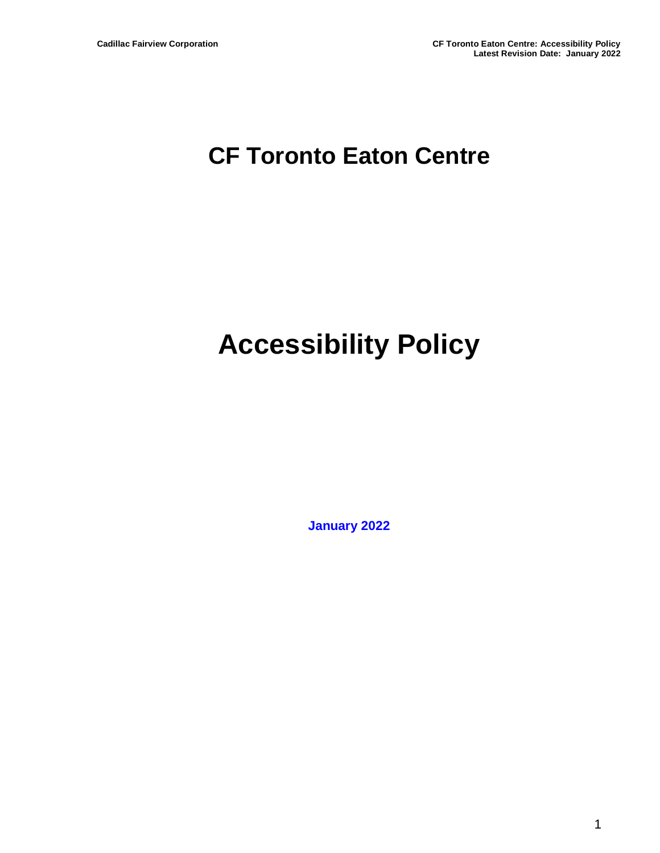## **CF Toronto Eaton Centre**

# **Accessibility Policy**

**January 2022**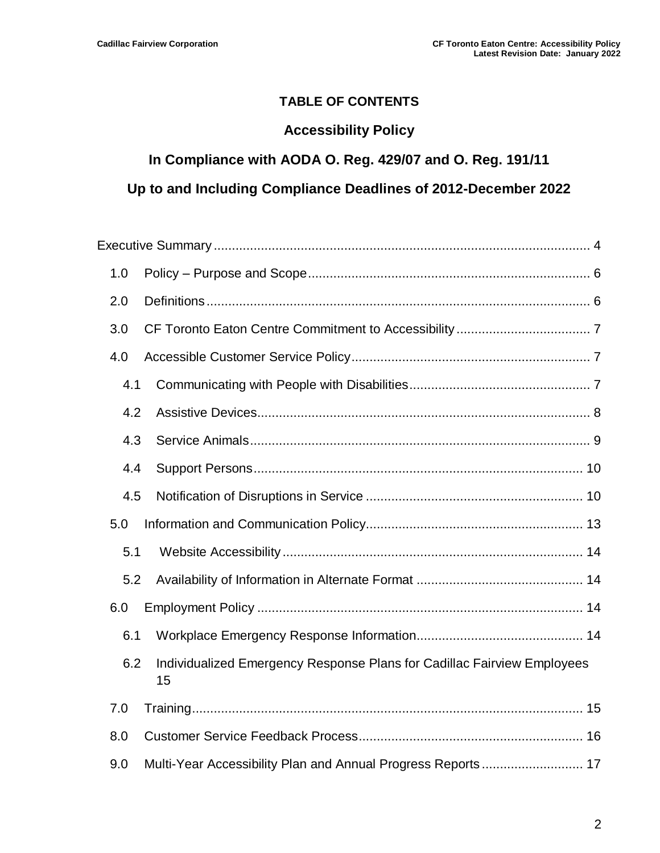#### **TABLE OF CONTENTS**

#### **Accessibility Policy**

#### **In Compliance with AODA O. Reg. 429/07 and O. Reg. 191/11**

#### **Up to and Including Compliance Deadlines of 2012-December 2022**

| 1.0 |                                                                               |
|-----|-------------------------------------------------------------------------------|
| 2.0 |                                                                               |
| 3.0 |                                                                               |
| 4.0 |                                                                               |
| 4.1 |                                                                               |
| 4.2 |                                                                               |
| 4.3 |                                                                               |
| 4.4 |                                                                               |
| 4.5 |                                                                               |
| 5.0 |                                                                               |
| 5.1 |                                                                               |
| 5.2 |                                                                               |
| 6.0 |                                                                               |
| 6.1 |                                                                               |
| 6.2 | Individualized Emergency Response Plans for Cadillac Fairview Employees<br>15 |
| 7.0 |                                                                               |
| 8.0 |                                                                               |
| 9.0 | Multi-Year Accessibility Plan and Annual Progress Reports 17                  |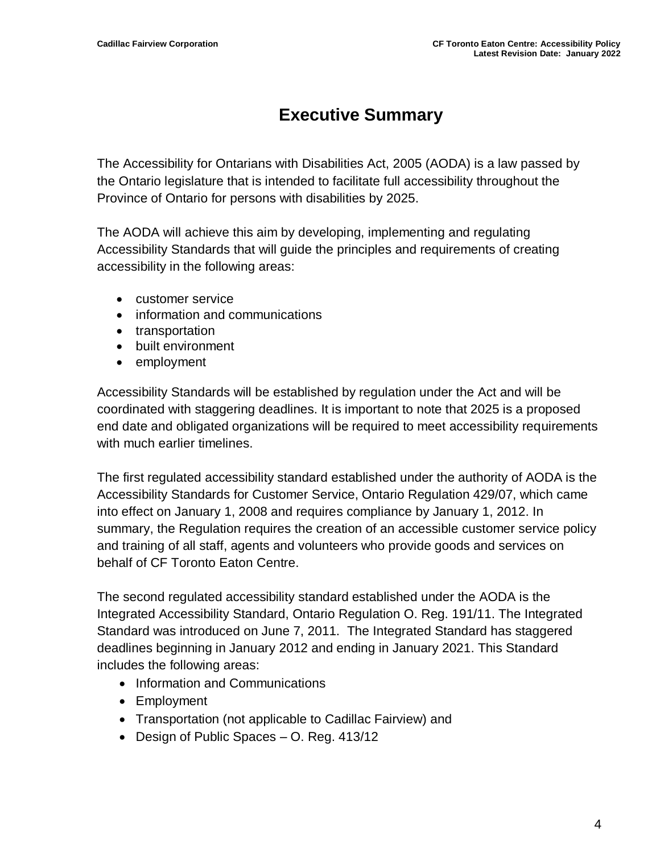## **Executive Summary**

<span id="page-3-0"></span>The Accessibility for Ontarians with Disabilities Act, 2005 (AODA) is a law passed by the Ontario legislature that is intended to facilitate full accessibility throughout the Province of Ontario for persons with disabilities by 2025.

The AODA will achieve this aim by developing, implementing and regulating Accessibility Standards that will guide the principles and requirements of creating accessibility in the following areas:

- customer service
- information and communications
- transportation
- built environment
- employment

Accessibility Standards will be established by regulation under the Act and will be coordinated with staggering deadlines. It is important to note that 2025 is a proposed end date and obligated organizations will be required to meet accessibility requirements with much earlier timelines.

The first regulated accessibility standard established under the authority of AODA is the Accessibility Standards for Customer Service, Ontario Regulation 429/07, which came into effect on January 1, 2008 and requires compliance by January 1, 2012. In summary, the Regulation requires the creation of an accessible customer service policy and training of all staff, agents and volunteers who provide goods and services on behalf of CF Toronto Eaton Centre.

The second regulated accessibility standard established under the AODA is the Integrated Accessibility Standard, Ontario Regulation O. Reg. 191/11. The Integrated Standard was introduced on June 7, 2011. The Integrated Standard has staggered deadlines beginning in January 2012 and ending in January 2021. This Standard includes the following areas:

- Information and Communications
- Employment
- Transportation (not applicable to Cadillac Fairview) and
- Design of Public Spaces O. Reg. 413/12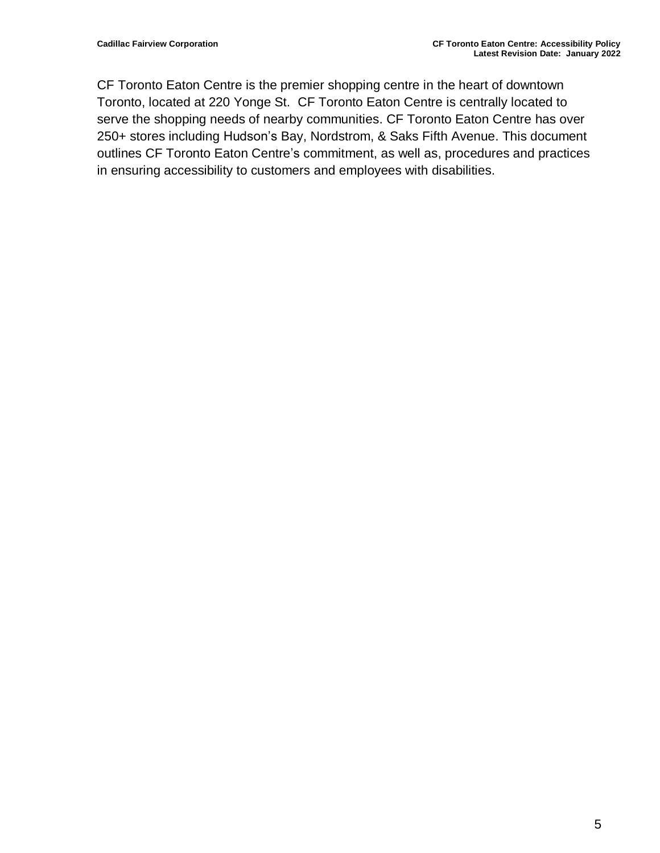CF Toronto Eaton Centre is the premier shopping centre in the heart of downtown Toronto, located at 220 Yonge St. CF Toronto Eaton Centre is centrally located to serve the shopping needs of nearby communities. CF Toronto Eaton Centre has over 250+ stores including Hudson's Bay, Nordstrom, & Saks Fifth Avenue. This document outlines CF Toronto Eaton Centre's commitment, as well as, procedures and practices in ensuring accessibility to customers and employees with disabilities.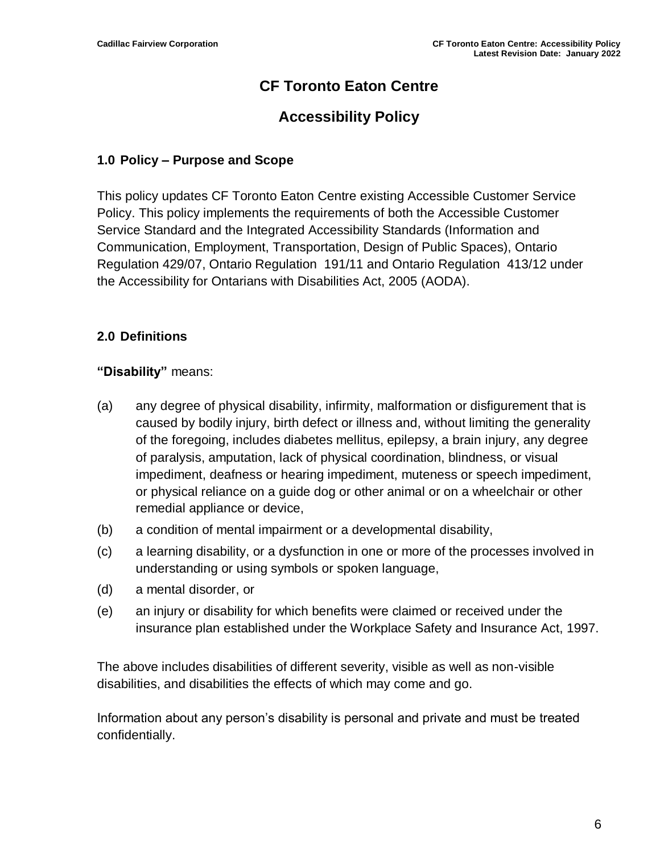#### **CF Toronto Eaton Centre**

#### **Accessibility Policy**

#### <span id="page-5-0"></span>**1.0 Policy – Purpose and Scope**

This policy updates CF Toronto Eaton Centre existing Accessible Customer Service Policy. This policy implements the requirements of both the Accessible Customer Service Standard and the Integrated Accessibility Standards (Information and Communication, Employment, Transportation, Design of Public Spaces), Ontario Regulation 429/07, Ontario Regulation 191/11 and Ontario Regulation 413/12 under the Accessibility for Ontarians with Disabilities Act, 2005 (AODA).

#### <span id="page-5-1"></span>**2.0 Definitions**

#### **"Disability"** means:

- (a) any degree of physical disability, infirmity, malformation or disfigurement that is caused by bodily injury, birth defect or illness and, without limiting the generality of the foregoing, includes diabetes mellitus, epilepsy, a brain injury, any degree of paralysis, amputation, lack of physical coordination, blindness, or visual impediment, deafness or hearing impediment, muteness or speech impediment, or physical reliance on a guide dog or other animal or on a wheelchair or other remedial appliance or device,
- (b) a condition of mental impairment or a developmental disability,
- (c) a learning disability, or a dysfunction in one or more of the processes involved in understanding or using symbols or spoken language,
- (d) a mental disorder, or
- (e) an injury or disability for which benefits were claimed or received under the insurance plan established under the Workplace Safety and Insurance Act, 1997.

The above includes disabilities of different severity, visible as well as non-visible disabilities, and disabilities the effects of which may come and go.

Information about any person's disability is personal and private and must be treated confidentially.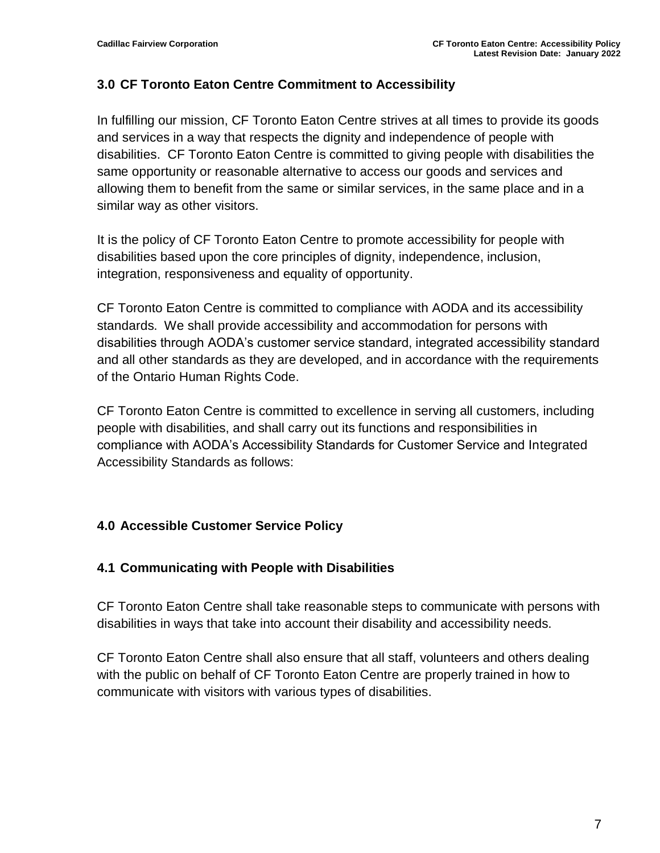#### <span id="page-6-0"></span>**3.0 CF Toronto Eaton Centre Commitment to Accessibility**

In fulfilling our mission, CF Toronto Eaton Centre strives at all times to provide its goods and services in a way that respects the dignity and independence of people with disabilities. CF Toronto Eaton Centre is committed to giving people with disabilities the same opportunity or reasonable alternative to access our goods and services and allowing them to benefit from the same or similar services, in the same place and in a similar way as other visitors.

It is the policy of CF Toronto Eaton Centre to promote accessibility for people with disabilities based upon the core principles of dignity, independence, inclusion, integration, responsiveness and equality of opportunity.

CF Toronto Eaton Centre is committed to compliance with AODA and its accessibility standards. We shall provide accessibility and accommodation for persons with disabilities through AODA's customer service standard, integrated accessibility standard and all other standards as they are developed, and in accordance with the requirements of the Ontario Human Rights Code.

CF Toronto Eaton Centre is committed to excellence in serving all customers, including people with disabilities, and shall carry out its functions and responsibilities in compliance with AODA's Accessibility Standards for Customer Service and Integrated Accessibility Standards as follows:

#### <span id="page-6-1"></span>**4.0 Accessible Customer Service Policy**

#### <span id="page-6-2"></span>**4.1 Communicating with People with Disabilities**

CF Toronto Eaton Centre shall take reasonable steps to communicate with persons with disabilities in ways that take into account their disability and accessibility needs.

CF Toronto Eaton Centre shall also ensure that all staff, volunteers and others dealing with the public on behalf of CF Toronto Eaton Centre are properly trained in how to communicate with visitors with various types of disabilities.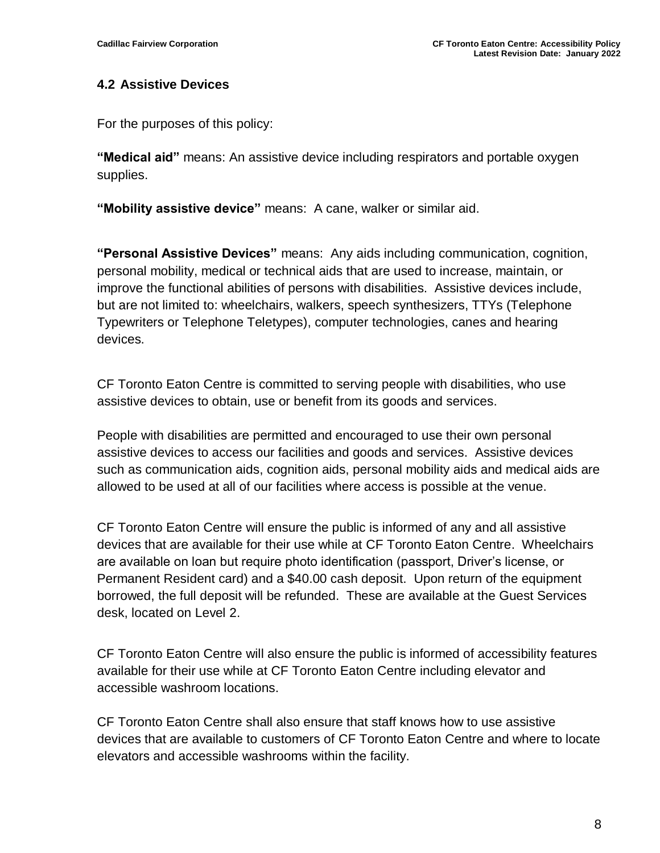#### <span id="page-7-0"></span>**4.2 Assistive Devices**

For the purposes of this policy:

**"Medical aid"** means: An assistive device including respirators and portable oxygen supplies.

**"Mobility assistive device"** means: A cane, walker or similar aid.

**"Personal Assistive Devices"** means: Any aids including communication, cognition, personal mobility, medical or technical aids that are used to increase, maintain, or improve the functional abilities of persons with disabilities. Assistive devices include, but are not limited to: wheelchairs, walkers, speech synthesizers, TTYs (Telephone Typewriters or Telephone Teletypes), computer technologies, canes and hearing devices.

CF Toronto Eaton Centre is committed to serving people with disabilities, who use assistive devices to obtain, use or benefit from its goods and services.

People with disabilities are permitted and encouraged to use their own personal assistive devices to access our facilities and goods and services. Assistive devices such as communication aids, cognition aids, personal mobility aids and medical aids are allowed to be used at all of our facilities where access is possible at the venue.

CF Toronto Eaton Centre will ensure the public is informed of any and all assistive devices that are available for their use while at CF Toronto Eaton Centre. Wheelchairs are available on loan but require photo identification (passport, Driver's license, or Permanent Resident card) and a \$40.00 cash deposit. Upon return of the equipment borrowed, the full deposit will be refunded. These are available at the Guest Services desk, located on Level 2.

CF Toronto Eaton Centre will also ensure the public is informed of accessibility features available for their use while at CF Toronto Eaton Centre including elevator and accessible washroom locations.

CF Toronto Eaton Centre shall also ensure that staff knows how to use assistive devices that are available to customers of CF Toronto Eaton Centre and where to locate elevators and accessible washrooms within the facility.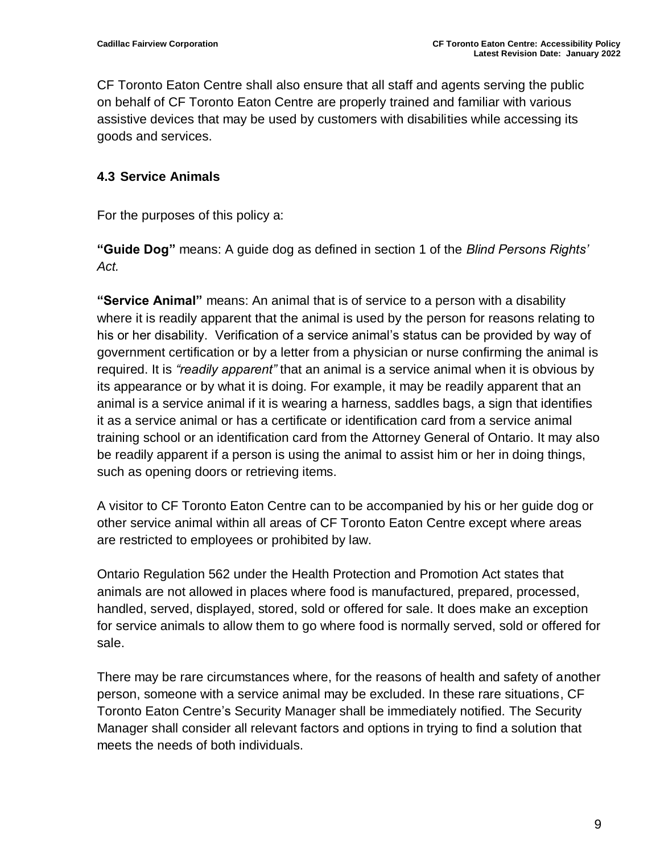CF Toronto Eaton Centre shall also ensure that all staff and agents serving the public on behalf of CF Toronto Eaton Centre are properly trained and familiar with various assistive devices that may be used by customers with disabilities while accessing its goods and services.

#### <span id="page-8-0"></span>**4.3 Service Animals**

For the purposes of this policy a:

**"Guide Dog"** means: A guide dog as defined in section 1 of the *Blind Persons Rights' Act.*

**"Service Animal"** means: An animal that is of service to a person with a disability where it is readily apparent that the animal is used by the person for reasons relating to his or her disability. Verification of a service animal's status can be provided by way of government certification or by a letter from a physician or nurse confirming the animal is required. It is *"readily apparent"* that an animal is a service animal when it is obvious by its appearance or by what it is doing. For example, it may be readily apparent that an animal is a service animal if it is wearing a harness, saddles bags, a sign that identifies it as a service animal or has a certificate or identification card from a service animal training school or an identification card from the Attorney General of Ontario. It may also be readily apparent if a person is using the animal to assist him or her in doing things, such as opening doors or retrieving items.

A visitor to CF Toronto Eaton Centre can to be accompanied by his or her guide dog or other service animal within all areas of CF Toronto Eaton Centre except where areas are restricted to employees or prohibited by law.

Ontario Regulation 562 under the Health Protection and Promotion Act states that animals are not allowed in places where food is manufactured, prepared, processed, handled, served, displayed, stored, sold or offered for sale. It does make an exception for service animals to allow them to go where food is normally served, sold or offered for sale.

There may be rare circumstances where, for the reasons of health and safety of another person, someone with a service animal may be excluded. In these rare situations, CF Toronto Eaton Centre's Security Manager shall be immediately notified. The Security Manager shall consider all relevant factors and options in trying to find a solution that meets the needs of both individuals.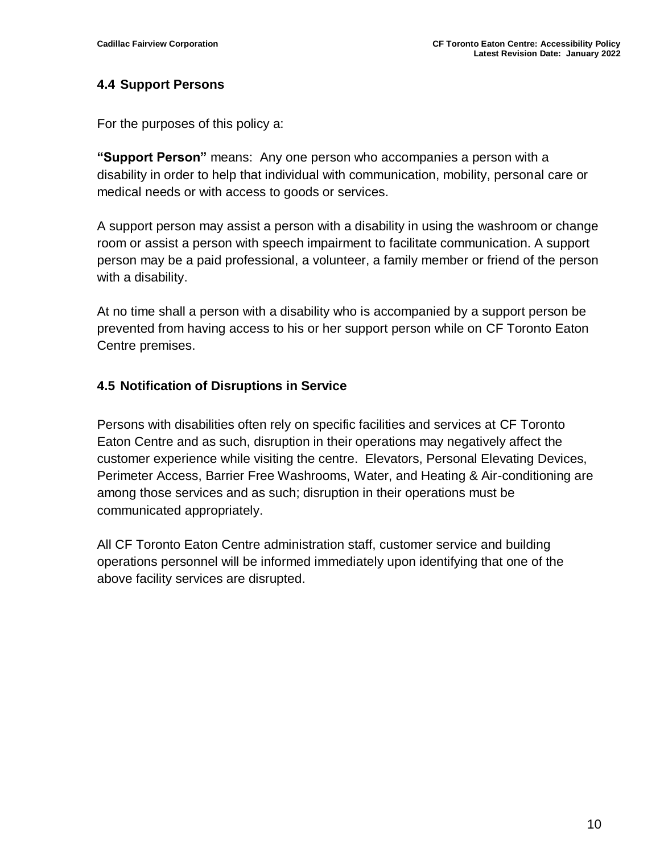#### <span id="page-9-0"></span>**4.4 Support Persons**

For the purposes of this policy a:

**"Support Person"** means: Any one person who accompanies a person with a disability in order to help that individual with communication, mobility, personal care or medical needs or with access to goods or services.

A support person may assist a person with a disability in using the washroom or change room or assist a person with speech impairment to facilitate communication. A support person may be a paid professional, a volunteer, a family member or friend of the person with a disability.

At no time shall a person with a disability who is accompanied by a support person be prevented from having access to his or her support person while on CF Toronto Eaton Centre premises.

#### <span id="page-9-1"></span>**4.5 Notification of Disruptions in Service**

Persons with disabilities often rely on specific facilities and services at CF Toronto Eaton Centre and as such, disruption in their operations may negatively affect the customer experience while visiting the centre. Elevators, Personal Elevating Devices, Perimeter Access, Barrier Free Washrooms, Water, and Heating & Air-conditioning are among those services and as such; disruption in their operations must be communicated appropriately.

All CF Toronto Eaton Centre administration staff, customer service and building operations personnel will be informed immediately upon identifying that one of the above facility services are disrupted.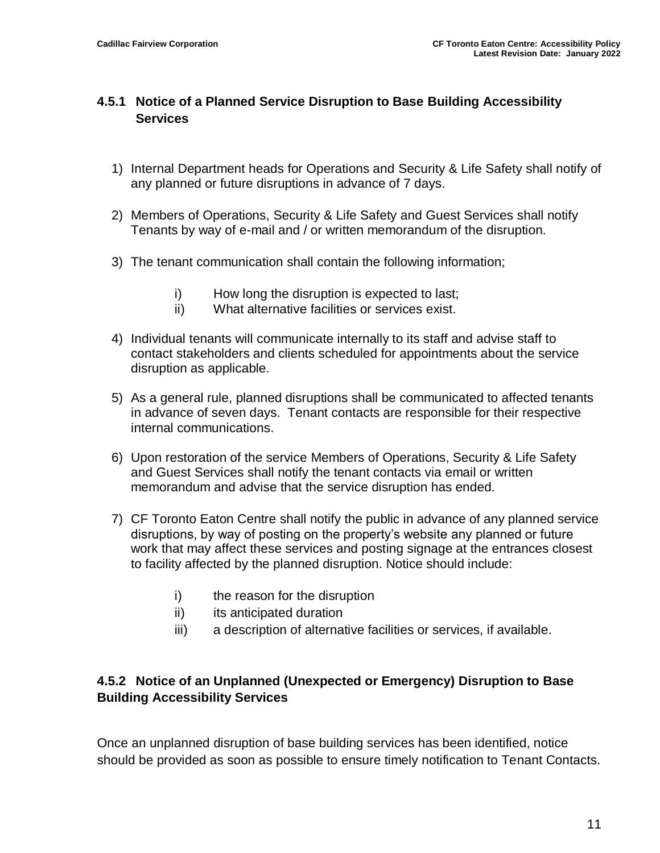#### **4.5.1 Notice of a Planned Service Disruption to Base Building Accessibility Services**

- 1) Internal Department heads for Operations and Security & Life Safety shall notify of any planned or future disruptions in advance of 7 days.
- 2) Members of Operations, Security & Life Safety and Guest Services shall notify Tenants by way of e-mail and / or written memorandum of the disruption.
- 3) The tenant communication shall contain the following information;
	- i) How long the disruption is expected to last;
	- ii) What alternative facilities or services exist.
- 4) Individual tenants will communicate internally to its staff and advise staff to contact stakeholders and clients scheduled for appointments about the service disruption as applicable.
- 5) As a general rule, planned disruptions shall be communicated to affected tenants in advance of seven days. Tenant contacts are responsible for their respective internal communications.
- 6) Upon restoration of the service Members of Operations, Security & Life Safety and Guest Services shall notify the tenant contacts via email or written memorandum and advise that the service disruption has ended.
- 7) CF Toronto Eaton Centre shall notify the public in advance of any planned service disruptions, by way of posting on the property's website any planned or future work that may affect these services and posting signage at the entrances closest to facility affected by the planned disruption. Notice should include:
	- i) the reason for the disruption
	- ii) its anticipated duration
	- iii) a description of alternative facilities or services, if available.

#### **4.5.2 Notice of an Unplanned (Unexpected or Emergency) Disruption to Base Building Accessibility Services**

Once an unplanned disruption of base building services has been identified, notice should be provided as soon as possible to ensure timely notification to Tenant Contacts.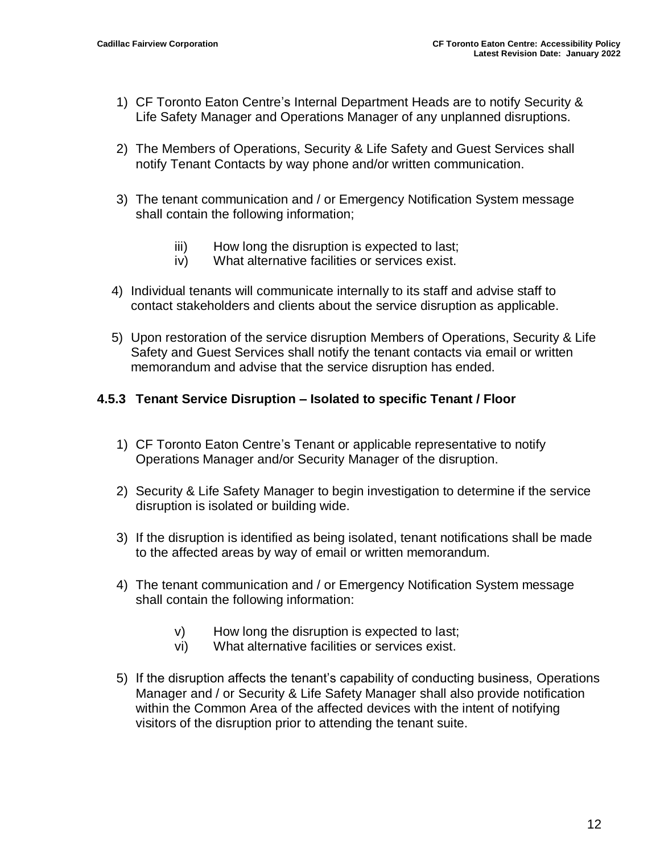- 1) CF Toronto Eaton Centre's Internal Department Heads are to notify Security & Life Safety Manager and Operations Manager of any unplanned disruptions.
- 2) The Members of Operations, Security & Life Safety and Guest Services shall notify Tenant Contacts by way phone and/or written communication.
- 3) The tenant communication and / or Emergency Notification System message shall contain the following information;
	- iii) How long the disruption is expected to last;
	- iv) What alternative facilities or services exist.
- 4) Individual tenants will communicate internally to its staff and advise staff to contact stakeholders and clients about the service disruption as applicable.
- 5) Upon restoration of the service disruption Members of Operations, Security & Life Safety and Guest Services shall notify the tenant contacts via email or written memorandum and advise that the service disruption has ended.

#### **4.5.3 Tenant Service Disruption – Isolated to specific Tenant / Floor**

- 1) CF Toronto Eaton Centre's Tenant or applicable representative to notify Operations Manager and/or Security Manager of the disruption.
- 2) Security & Life Safety Manager to begin investigation to determine if the service disruption is isolated or building wide.
- 3) If the disruption is identified as being isolated, tenant notifications shall be made to the affected areas by way of email or written memorandum.
- 4) The tenant communication and / or Emergency Notification System message shall contain the following information:
	- v) How long the disruption is expected to last;
	- vi) What alternative facilities or services exist.
- 5) If the disruption affects the tenant's capability of conducting business, Operations Manager and / or Security & Life Safety Manager shall also provide notification within the Common Area of the affected devices with the intent of notifying visitors of the disruption prior to attending the tenant suite.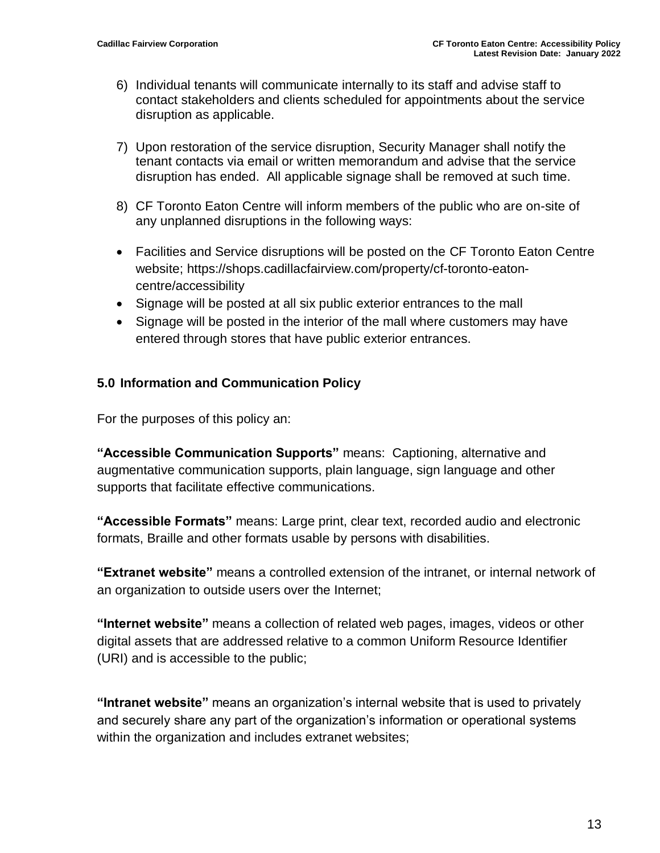- 6) Individual tenants will communicate internally to its staff and advise staff to contact stakeholders and clients scheduled for appointments about the service disruption as applicable.
- 7) Upon restoration of the service disruption, Security Manager shall notify the tenant contacts via email or written memorandum and advise that the service disruption has ended. All applicable signage shall be removed at such time.
- 8) CF Toronto Eaton Centre will inform members of the public who are on-site of any unplanned disruptions in the following ways:
- Facilities and Service disruptions will be posted on the CF Toronto Eaton Centre website; https://shops.cadillacfairview.com/property/cf-toronto-eatoncentre/accessibility
- Signage will be posted at all six public exterior entrances to the mall
- Signage will be posted in the interior of the mall where customers may have entered through stores that have public exterior entrances.

#### <span id="page-12-0"></span>**5.0 Information and Communication Policy**

For the purposes of this policy an:

**"Accessible Communication Supports"** means: Captioning, alternative and augmentative communication supports, plain language, sign language and other supports that facilitate effective communications.

**"Accessible Formats"** means: Large print, clear text, recorded audio and electronic formats, Braille and other formats usable by persons with disabilities.

**"Extranet website"** means a controlled extension of the intranet, or internal network of an organization to outside users over the Internet;

**"Internet website"** means a collection of related web pages, images, videos or other digital assets that are addressed relative to a common Uniform Resource Identifier (URI) and is accessible to the public;

**"Intranet website"** means an organization's internal website that is used to privately and securely share any part of the organization's information or operational systems within the organization and includes extranet websites;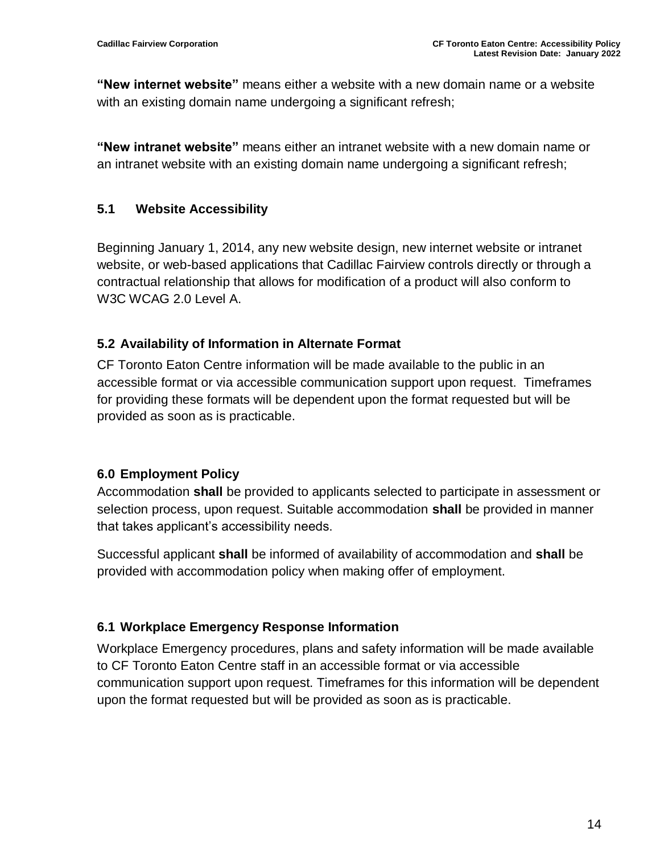**"New internet website"** means either a website with a new domain name or a website with an existing domain name undergoing a significant refresh;

**"New intranet website"** means either an intranet website with a new domain name or an intranet website with an existing domain name undergoing a significant refresh;

#### <span id="page-13-0"></span>**5.1 Website Accessibility**

Beginning January 1, 2014, any new website design, new internet website or intranet website, or web-based applications that Cadillac Fairview controls directly or through a contractual relationship that allows for modification of a product will also conform to W3C WCAG 2.0 Level A.

#### <span id="page-13-1"></span>**5.2 Availability of Information in Alternate Format**

CF Toronto Eaton Centre information will be made available to the public in an accessible format or via accessible communication support upon request. Timeframes for providing these formats will be dependent upon the format requested but will be provided as soon as is practicable.

#### <span id="page-13-2"></span>**6.0 Employment Policy**

Accommodation **shall** be provided to applicants selected to participate in assessment or selection process, upon request. Suitable accommodation **shall** be provided in manner that takes applicant's accessibility needs.

Successful applicant **shall** be informed of availability of accommodation and **shall** be provided with accommodation policy when making offer of employment.

#### <span id="page-13-3"></span>**6.1 Workplace Emergency Response Information**

Workplace Emergency procedures, plans and safety information will be made available to CF Toronto Eaton Centre staff in an accessible format or via accessible communication support upon request. Timeframes for this information will be dependent upon the format requested but will be provided as soon as is practicable.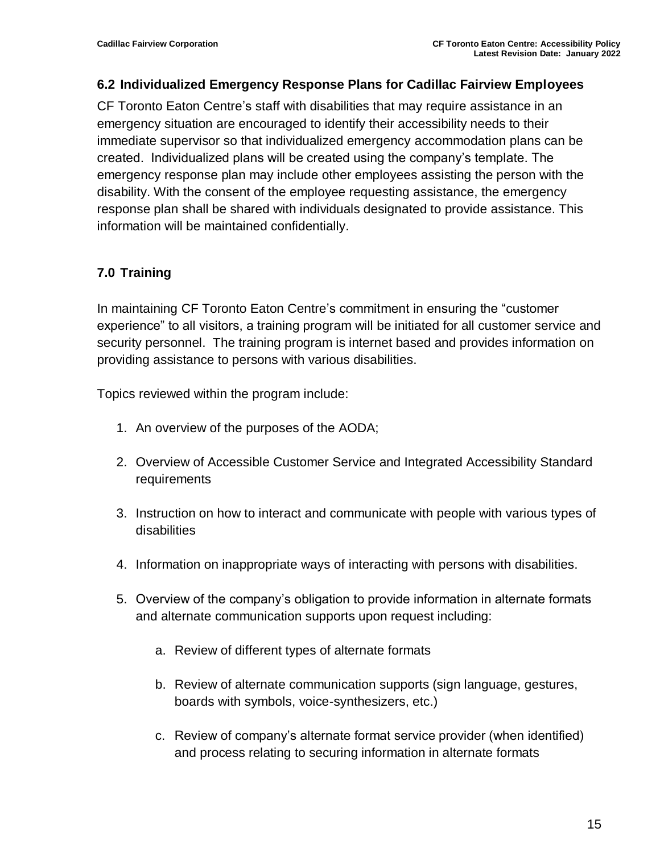#### <span id="page-14-0"></span>**6.2 Individualized Emergency Response Plans for Cadillac Fairview Employees**

CF Toronto Eaton Centre's staff with disabilities that may require assistance in an emergency situation are encouraged to identify their accessibility needs to their immediate supervisor so that individualized emergency accommodation plans can be created. Individualized plans will be created using the company's template. The emergency response plan may include other employees assisting the person with the disability. With the consent of the employee requesting assistance, the emergency response plan shall be shared with individuals designated to provide assistance. This information will be maintained confidentially.

#### <span id="page-14-1"></span>**7.0 Training**

In maintaining CF Toronto Eaton Centre's commitment in ensuring the "customer experience" to all visitors, a training program will be initiated for all customer service and security personnel. The training program is internet based and provides information on providing assistance to persons with various disabilities.

Topics reviewed within the program include:

- 1. An overview of the purposes of the AODA;
- 2. Overview of Accessible Customer Service and Integrated Accessibility Standard requirements
- 3. Instruction on how to interact and communicate with people with various types of disabilities
- 4. Information on inappropriate ways of interacting with persons with disabilities.
- 5. Overview of the company's obligation to provide information in alternate formats and alternate communication supports upon request including:
	- a. Review of different types of alternate formats
	- b. Review of alternate communication supports (sign language, gestures, boards with symbols, voice-synthesizers, etc.)
	- c. Review of company's alternate format service provider (when identified) and process relating to securing information in alternate formats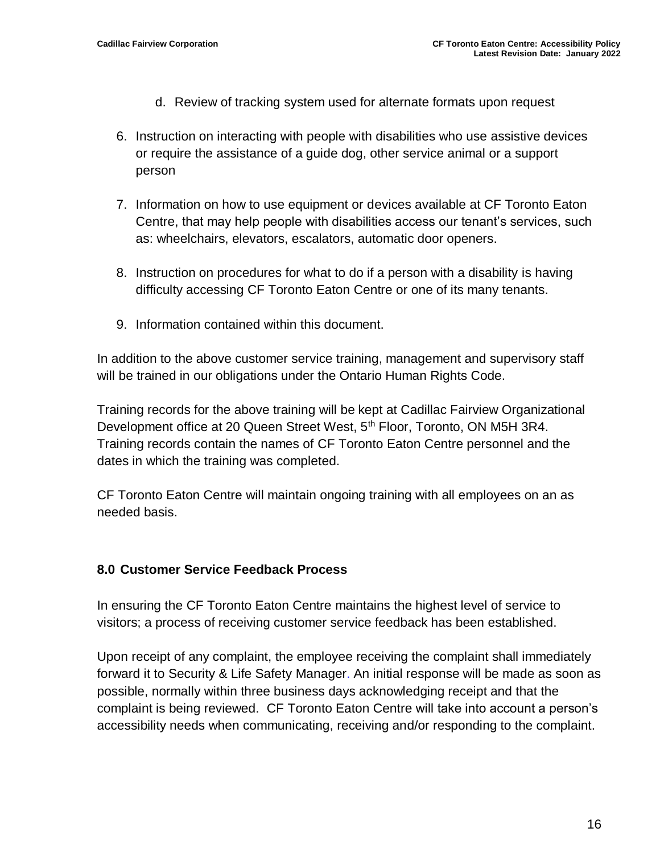- d. Review of tracking system used for alternate formats upon request
- 6. Instruction on interacting with people with disabilities who use assistive devices or require the assistance of a guide dog, other service animal or a support person
- 7. Information on how to use equipment or devices available at CF Toronto Eaton Centre, that may help people with disabilities access our tenant's services, such as: wheelchairs, elevators, escalators, automatic door openers.
- 8. Instruction on procedures for what to do if a person with a disability is having difficulty accessing CF Toronto Eaton Centre or one of its many tenants.
- 9. Information contained within this document.

In addition to the above customer service training, management and supervisory staff will be trained in our obligations under the Ontario Human Rights Code.

Training records for the above training will be kept at Cadillac Fairview Organizational Development office at 20 Queen Street West, 5<sup>th</sup> Floor, Toronto, ON M5H 3R4. Training records contain the names of CF Toronto Eaton Centre personnel and the dates in which the training was completed.

CF Toronto Eaton Centre will maintain ongoing training with all employees on an as needed basis.

#### <span id="page-15-0"></span>**8.0 Customer Service Feedback Process**

In ensuring the CF Toronto Eaton Centre maintains the highest level of service to visitors; a process of receiving customer service feedback has been established.

Upon receipt of any complaint, the employee receiving the complaint shall immediately forward it to Security & Life Safety Manager. An initial response will be made as soon as possible, normally within three business days acknowledging receipt and that the complaint is being reviewed. CF Toronto Eaton Centre will take into account a person's accessibility needs when communicating, receiving and/or responding to the complaint.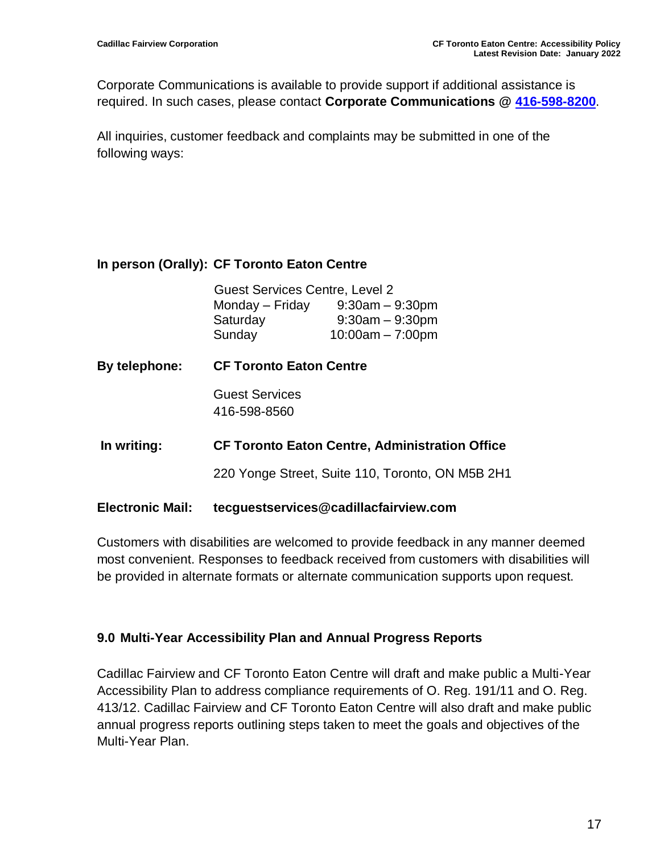Corporate Communications is available to provide support if additional assistance is required. In such cases, please contact **Corporate Communications @ [416-598-8200](tel:416-598-8200)**.

All inquiries, customer feedback and complaints may be submitted in one of the following ways:

#### **In person (Orally): CF Toronto Eaton Centre**

| <b>Guest Services Centre, Level 2</b> |                    |  |  |  |
|---------------------------------------|--------------------|--|--|--|
| Monday – Friday                       | $9:30am - 9:30pm$  |  |  |  |
| Saturday                              | $9:30am - 9:30pm$  |  |  |  |
| Sunday                                | $10:00am - 7:00pm$ |  |  |  |

**By telephone: CF Toronto Eaton Centre** Guest Services 416-598-8560 **In writing: CF Toronto Eaton Centre, Administration Office**

220 Yonge Street, Suite 110, Toronto, ON M5B 2H1

#### **Electronic Mail: tecguestservices@cadillacfairview.com**

Customers with disabilities are welcomed to provide feedback in any manner deemed most convenient. Responses to feedback received from customers with disabilities will be provided in alternate formats or alternate communication supports upon request.

#### <span id="page-16-0"></span>**9.0 Multi-Year Accessibility Plan and Annual Progress Reports**

Cadillac Fairview and CF Toronto Eaton Centre will draft and make public a Multi-Year Accessibility Plan to address compliance requirements of O. Reg. 191/11 and O. Reg. 413/12. Cadillac Fairview and CF Toronto Eaton Centre will also draft and make public annual progress reports outlining steps taken to meet the goals and objectives of the Multi-Year Plan.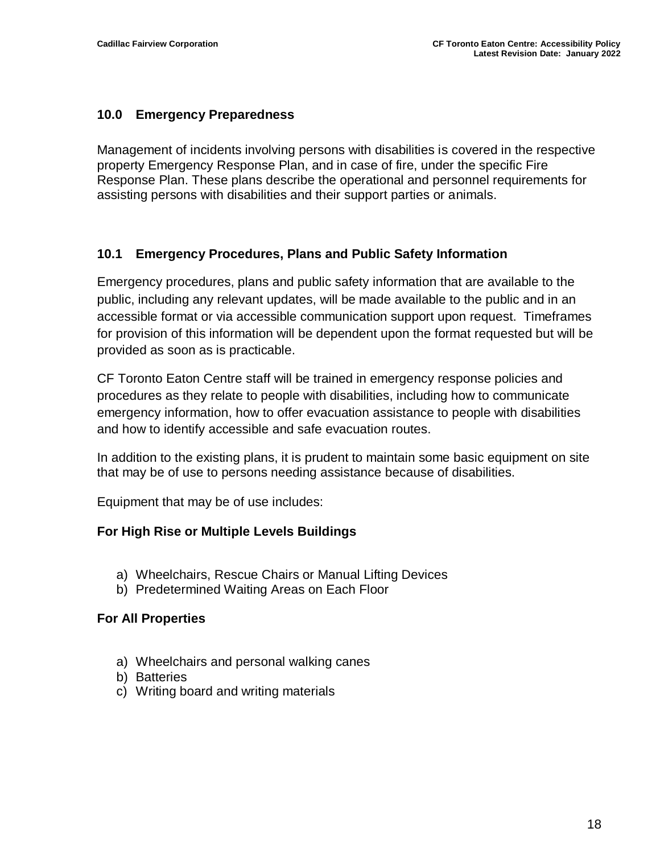#### <span id="page-17-0"></span>**10.0 Emergency Preparedness**

Management of incidents involving persons with disabilities is covered in the respective property Emergency Response Plan, and in case of fire, under the specific Fire Response Plan. These plans describe the operational and personnel requirements for assisting persons with disabilities and their support parties or animals.

#### **10.1 Emergency Procedures, Plans and Public Safety Information**

Emergency procedures, plans and public safety information that are available to the public, including any relevant updates, will be made available to the public and in an accessible format or via accessible communication support upon request. Timeframes for provision of this information will be dependent upon the format requested but will be provided as soon as is practicable.

CF Toronto Eaton Centre staff will be trained in emergency response policies and procedures as they relate to people with disabilities, including how to communicate emergency information, how to offer evacuation assistance to people with disabilities and how to identify accessible and safe evacuation routes.

In addition to the existing plans, it is prudent to maintain some basic equipment on site that may be of use to persons needing assistance because of disabilities.

Equipment that may be of use includes:

#### **For High Rise or Multiple Levels Buildings**

- a) Wheelchairs, Rescue Chairs or Manual Lifting Devices
- b) Predetermined Waiting Areas on Each Floor

#### **For All Properties**

- a) Wheelchairs and personal walking canes
- b) Batteries
- c) Writing board and writing materials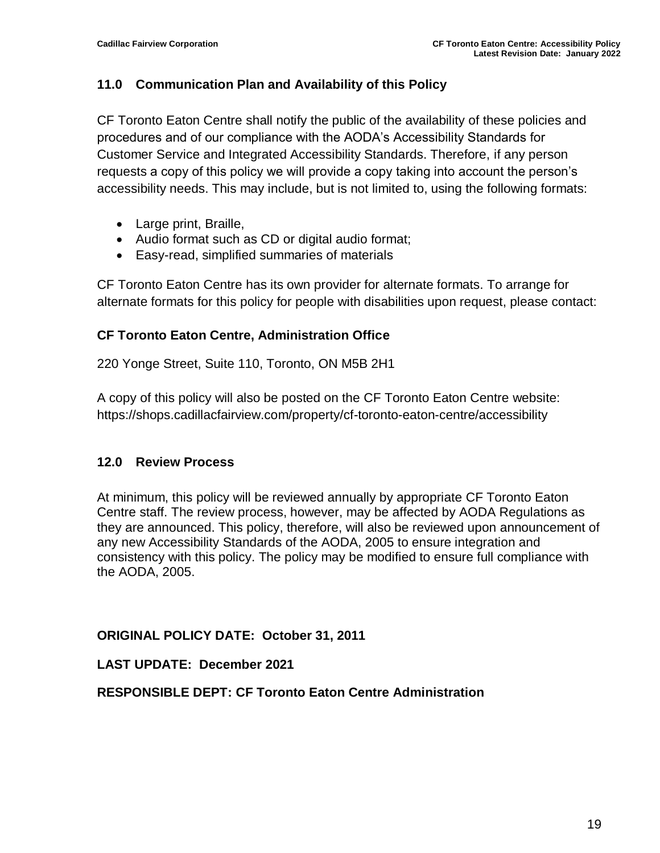#### <span id="page-18-0"></span>**11.0 Communication Plan and Availability of this Policy**

CF Toronto Eaton Centre shall notify the public of the availability of these policies and procedures and of our compliance with the AODA's Accessibility Standards for Customer Service and Integrated Accessibility Standards. Therefore, if any person requests a copy of this policy we will provide a copy taking into account the person's accessibility needs. This may include, but is not limited to, using the following formats:

- Large print, Braille,
- Audio format such as CD or digital audio format;
- Easy-read, simplified summaries of materials

CF Toronto Eaton Centre has its own provider for alternate formats. To arrange for alternate formats for this policy for people with disabilities upon request, please contact:

#### **CF Toronto Eaton Centre, Administration Office**

220 Yonge Street, Suite 110, Toronto, ON M5B 2H1

A copy of this policy will also be posted on the CF Toronto Eaton Centre website: https://shops.cadillacfairview.com/property/cf-toronto-eaton-centre/accessibility

#### <span id="page-18-1"></span>**12.0 Review Process**

At minimum, this policy will be reviewed annually by appropriate CF Toronto Eaton Centre staff. The review process, however, may be affected by AODA Regulations as they are announced. This policy, therefore, will also be reviewed upon announcement of any new Accessibility Standards of the AODA, 2005 to ensure integration and consistency with this policy. The policy may be modified to ensure full compliance with the AODA, 2005.

#### **ORIGINAL POLICY DATE: October 31, 2011**

**LAST UPDATE: December 2021**

#### **RESPONSIBLE DEPT: CF Toronto Eaton Centre Administration**